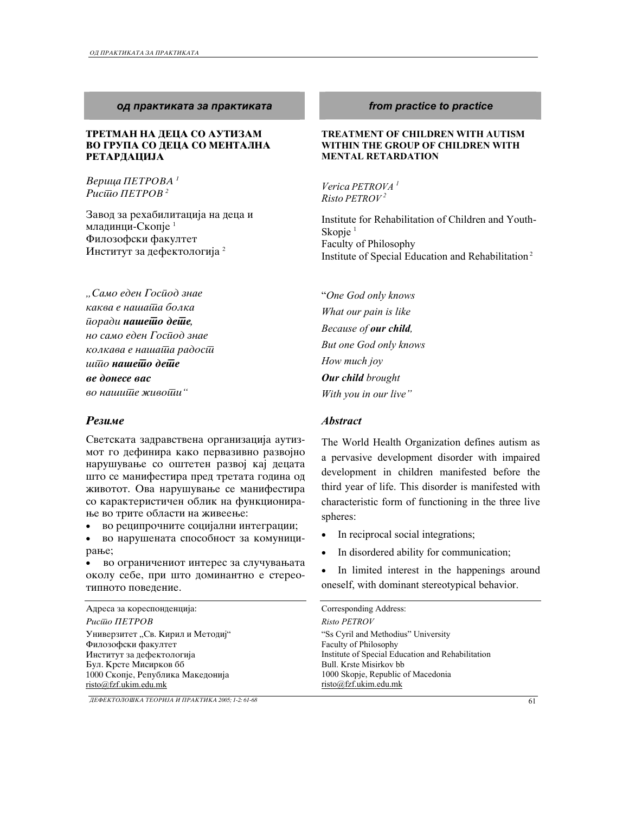## *od praktikata za praktikata from practice to practice*

### **ТРЕТМАН НА ДЕЦА СО АУТИЗАМ** ВО ГРУПА СО ДЕЦА СО МЕНТАЛНА **РЕТАРДАЦИЈА**

*Bерица* ПЕТРОВА<sup>1</sup> **Рис**шо ПЕТРОВ<sup>2</sup>

Завод за рехабилитација на деца и младинци-Скопје<sup>1</sup> Филозофски факултет Институт за дефектологија <sup>2</sup>

*"Samo eden Gospod znae*  kaква е наша<del>йа</del> болка  $\bar{u}$ оради **нашешо деше**, *no samo eden Gospod znae колкава е нашаша радосии*  $\overline{u}$ *u* $\overline{u}$ *o* нашешо деше ве донесе вас  $\theta$ *о наши* $\bar{u}$ *е живо* $\bar{u}u$  "

Светската задравствена организација аутизмот го дефинира како первазивно развојно нарушување со оштетен развој кај децата што се манифестира пред третата година од животот. Ова нарушување се манифестира со карактеристичен облик на функционирање во трите области на живеење:

во реципрочните социјални интеграции;

во нарушената способност за комуницирање;

во ограничениот интерес за случувањата околу себе, при што доминантно е стереотипното поведение.

### Адреса за кореспонденција:  $Puc\overline{u}$ o *RETPOB* Универзитет "Св. Кирил и Методиј" Филозофски факултет Институт за дефектологија Бул. Крсте Мисирков бб 1000 Скопје, Република Македонија Faculty of Philosophy Bull. Krste Misirkov bb

*DEFEKTOLO[KA TEORIJA I PRAKTIKA 2005; 1-2: 61-68* 61

risto@fzf.ukim.edu.mk

### **TREATMENT OF CHILDREN WITH AUTISM WITHIN THE GROUP OF CHILDREN WITH MENTAL RETARDATION**

*Verica PETROVA 1 Risto PETROV <sup>2</sup>*

Institute for Rehabilitation of Children and Youth-Skopje $<sup>1</sup>$ </sup> Faculty of Philosophy Institute of Special Education and Rehabilitation<sup>2</sup>

"*One God only knows What our pain is like Because of our child, But one God only knows How much joy Our child brought With you in our live"* 

## *Rezime Abstract*

The World Health Organization defines autism as a pervasive development disorder with impaired development in children manifested before the third year of life. This disorder is manifested with characteristic form of functioning in the three live spheres:

- In reciprocal social integrations;
- In disordered ability for communication;
- In limited interest in the happenings around oneself, with dominant stereotypical behavior.

| Corresponding Address:                            |
|---------------------------------------------------|
| Risto PETROV                                      |
| "Ss Cyril and Methodius" University               |
| Faculty of Philosophy                             |
| Institute of Special Education and Rehabilitation |
| Bull. Krste Misirkov bb                           |
| 1000 Skopje, Republic of Macedonia                |
| risto@fzf.ukim.edu.mk                             |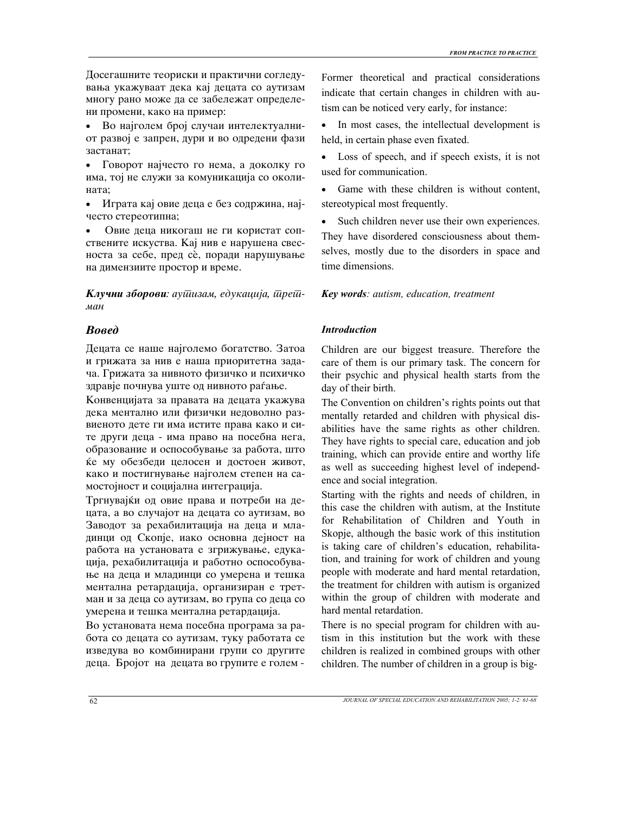Досегашните теориски и практични согледувања укажуваат дека кај децата со аутизам многу рано може да се забележат определени промени, како на пример:

- Во најголем број случаи интелектуалниот развој е запрен, дури и во одредени фази застанат:
- Говорот најчесто го нема, а доколку го има, тој не служи за комуникација со околината;
- Играта кај овие деца е без содржина, најчесто стереотипна;
- Овие деца никогаш не ги користат сопствените искуства. Кај нив е нарушена свесноста за себе, пред сè, поради нарушување на димензиите простор и време.

**Клучни зборови**: аушизам, едукација, шреш*man* 

Децата се наше најголемо богатство. Затоа и грижата за нив е наша приоритетна задача. Грижата за нивното физичко и психичко здравје почнува уште од нивното раѓање.

Конвенцијата за правата на децата укажува дека ментално или физички недоволно развиеното дете ги има истите права како и сите други деца - има право на посебна нега, образование и оспособување за работа, што ќе му обезбеди целосен и достоен живот, како и постигнување најголем степен на самостојност и социјална интеграција.

Тргнувајќи од овие права и потреби на децата, а во случајот на децата со аутизам, во Заводот за рехабилитација на деца и младинци од Скопје, иако основна дејност на работа на установата е згрижување, едукација, рехабилитација и работно оспособување на деца и младинци со умерена и тешка ментална ретардација, организиран е третман и за деца со аутизам, во група со деца со умерена и тешка ментална ретардација.

Во установата нема посебна програма за работа со децата со аутизам, туку работата се изведува во комбинирани групи со другите деца. Бројот на децата во групите е голем - Former theoretical and practical considerations indicate that certain changes in children with autism can be noticed very early, for instance:

- In most cases, the intellectual development is held, in certain phase even fixated.
- Loss of speech, and if speech exists, it is not used for communication.
- Game with these children is without content, stereotypical most frequently.
- Such children never use their own experiences. They have disordered consciousness about themselves, mostly due to the disorders in space and time dimensions.

*Key words: autism, education, treatment*

## *Bosed Introduction*

Children are our biggest treasure. Therefore the care of them is our primary task. The concern for their psychic and physical health starts from the day of their birth.

The Convention on children's rights points out that mentally retarded and children with physical disabilities have the same rights as other children. They have rights to special care, education and job training, which can provide entire and worthy life as well as succeeding highest level of independence and social integration.

Starting with the rights and needs of children, in this case the children with autism, at the Institute for Rehabilitation of Children and Youth in Skopje, although the basic work of this institution is taking care of children's education, rehabilitation, and training for work of children and young people with moderate and hard mental retardation, the treatment for children with autism is organized within the group of children with moderate and hard mental retardation.

There is no special program for children with autism in this institution but the work with these children is realized in combined groups with other children. The number of children in a group is big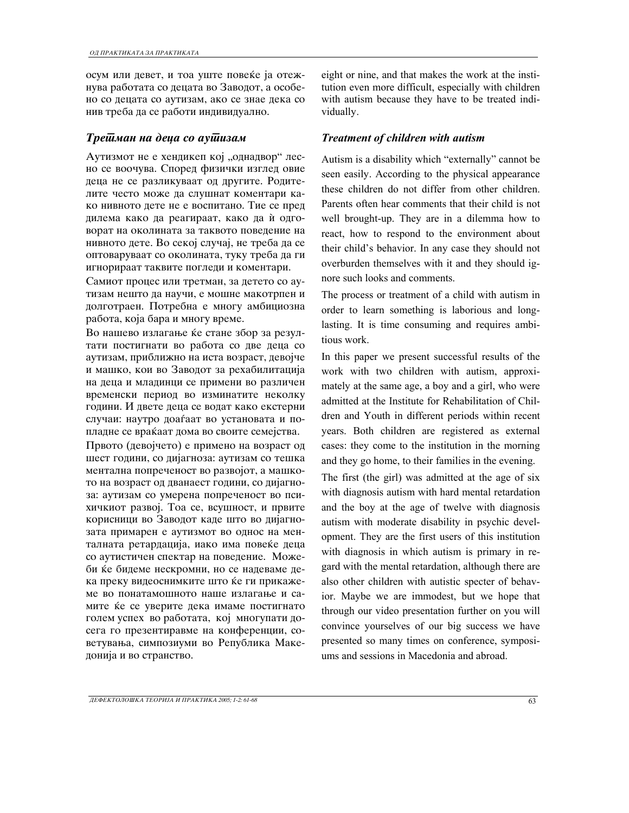осум или девет, и тоа уште повеќе ја отежнува работата со децата во Заводот, а особено со децата со аутизам, ако се знае дека со нив треба да се работи индивидуално.

Аутизмот не е хендикеп кој "однадвор" лесно се воочува. Според физички изглед овие деца не се разликуваат од другите. Родителите често може да слушнат коментари како нивното дете не е воспитано. Тие се пред дилема како да реагираат, како да ѝ одговорат на околината за таквото поведение на нивното дете. Во секој случај, не треба да се оптоваруваат со околината, туку треба да ги игнорираат таквите погледи и коментари.

Самиот процес или третман, за детето со аутизам нешто да научи, е мошне макотрпен и долготраен. Потребна е многу амбициозна работа, која бара и многу време.

Во нашево излагање ќе стане збор за резултати постигнати во работа со две деца со аутизам, приближно на иста возраст, девојче и машко, кои во Заводот за рехабилитација на деца и младинци се примени во различен временски период во изминатите неколку години. И двете деца се водат како екстерни случаи: наутро доаѓаат во установата и попладне се враќаат дома во своите семејства.

Првото (девојчето) е примено на возраст од шест години, со дијагноза: аутизам со тешка ментална попреченост во развојот, а машкото на возраст од дванаест години, со дијагноза: аутизам со умерена попреченост во психичкиот развој. Тоа се, всушност, и првите корисници во Заводот каде што во дијагнозата примарен е аутизмот во однос на менталната ретардација, иако има повеќе деца со аутистичен спектар на поведение. Можеби ќе бидеме нескромни, но се надеваме дека преку видеоснимките што ќе ги прикажеме во понатамошното наше излагање и самите ќе се уверите дека имаме постигнато голем успех во работата, кој многупати досега го презентиравме на конференции, советувања, симпозиуми во Република Македонија и во странство.

eight or nine, and that makes the work at the institution even more difficult, especially with children with autism because they have to be treated individually.

## *Tretman na deca so autizam Treatment of children with autism*

Autism is a disability which "externally" cannot be seen easily. According to the physical appearance these children do not differ from other children. Parents often hear comments that their child is not well brought-up. They are in a dilemma how to react, how to respond to the environment about their child's behavior. In any case they should not overburden themselves with it and they should ignore such looks and comments.

The process or treatment of a child with autism in order to learn something is laborious and longlasting. It is time consuming and requires ambitious work.

In this paper we present successful results of the work with two children with autism, approximately at the same age, a boy and a girl, who were admitted at the Institute for Rehabilitation of Children and Youth in different periods within recent years. Both children are registered as external cases: they come to the institution in the morning and they go home, to their families in the evening.

The first (the girl) was admitted at the age of six with diagnosis autism with hard mental retardation and the boy at the age of twelve with diagnosis autism with moderate disability in psychic development. They are the first users of this institution with diagnosis in which autism is primary in regard with the mental retardation, although there are also other children with autistic specter of behavior. Maybe we are immodest, but we hope that through our video presentation further on you will convince yourselves of our big success we have presented so many times on conference, symposiums and sessions in Macedonia and abroad.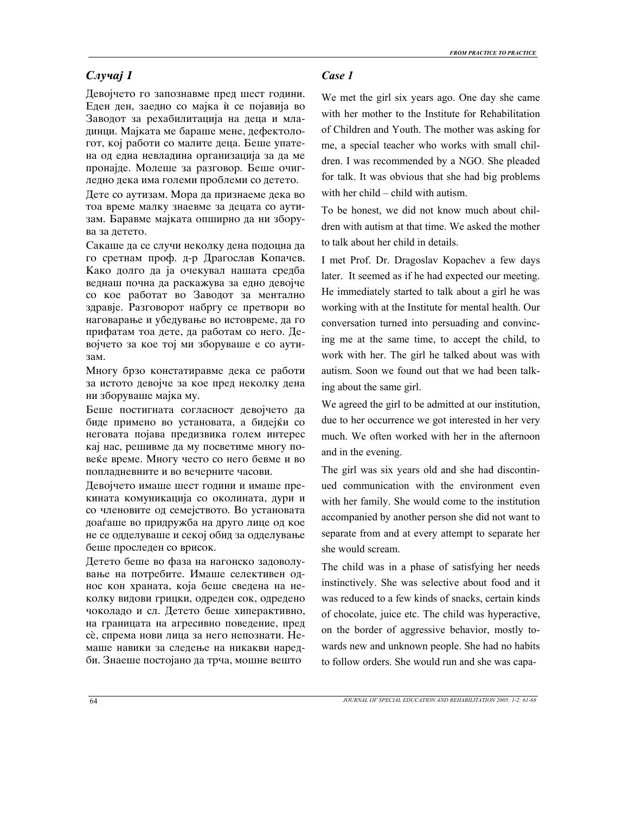# *Slu~aj 1 Case 1*

Девојчето го запознавме пред шест години. Еден ден, заедно со мајка ѝ се појавија во Заводот за рехабилитација на деца и младинци. Мајката ме бараше мене, дефектологот, кој работи со малите деца. Беше упатена од една невладина организација за да ме пронајде. Молеше за разговор. Беше очигледно дека има големи проблеми со детето.

Дете со аутизам. Мора да признаеме дека во тоа време малку знаевме за децата со аутизам. Баравме мајката опширно да ни зборува за детето.

Сакаше да се случи неколку дена подоцна да го сретнам проф. д-р Драгослав Копачев. Како долго да ја очекувал нашата средба веднаш почна да раскажува за едно девојче со кое работат во Заводот за ментално здравје. Разговорот набргу се претвори во наговарање и убедување во истовреме, да го прифатам тоа дете, да работам со него. Девојчето за кое тој ми зборуваше е со аути-3a<sub>M</sub>.

Многу брзо констатиравме дека се работи за истото девојче за кое пред неколку дена ни зборуваше мајка му.

Беше постигната согласност девојчето да биде примено во установата, а бидејќи со неговата појава предизвика голем интерес кај нас, решивме да му посветиме многу повеќе време. Многу често со него бевме и во попладневните и во вечерните часови.

Девојчето имаше шест години и имаше прекината комуникација со околината, дури и со членовите од семејството. Во установата доаѓаше во придружба на друго лице од кое не се одделуваше и секој обид за одделување беше проследен со врисок.

Детето беше во фаза на нагонско задоволување на потребите. Имаше селективен однос кон храната, која беше сведена на неколку видови грицки, одреден сок, одредено чоколадо и сл. Детето беше хиперактивно, на границата на агресивно поведение, пред сѐ, спрема нови лица за него непознати. Немаше навики за следење на никакви наредби. Знаеше постојано да трча, мошне вешто

We met the girl six years ago. One day she came with her mother to the Institute for Rehabilitation of Children and Youth. The mother was asking for me, a special teacher who works with small children. I was recommended by a NGO. She pleaded for talk. It was obvious that she had big problems with her child – child with autism.

To be honest, we did not know much about children with autism at that time. We asked the mother to talk about her child in details.

I met Prof. Dr. Dragoslav Kopachev a few days later. It seemed as if he had expected our meeting. He immediately started to talk about a girl he was working with at the Institute for mental health. Our conversation turned into persuading and convincing me at the same time, to accept the child, to work with her. The girl he talked about was with autism. Soon we found out that we had been talking about the same girl.

We agreed the girl to be admitted at our institution, due to her occurrence we got interested in her very much. We often worked with her in the afternoon and in the evening.

The girl was six years old and she had discontinued communication with the environment even with her family. She would come to the institution accompanied by another person she did not want to separate from and at every attempt to separate her she would scream.

The child was in a phase of satisfying her needs instinctively. She was selective about food and it was reduced to a few kinds of snacks, certain kinds of chocolate, juice etc. The child was hyperactive, on the border of aggressive behavior, mostly towards new and unknown people. She had no habits to follow orders. She would run and she was capa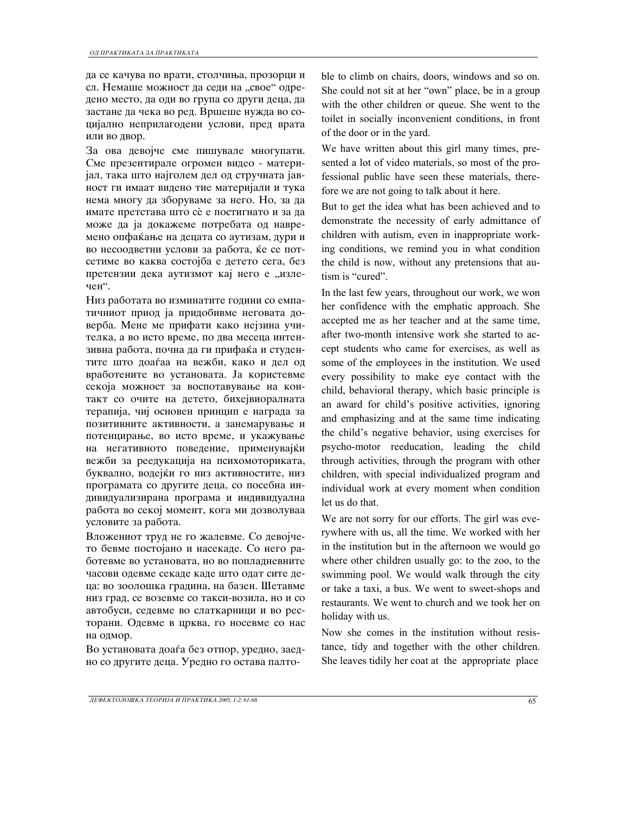да се качува по врати, столчиња, прозорци и сл. Немаше можност да седи на "свое" одредено место, да оди во група со други деца, да застане да чека во ред. Вршеше нужда во социјално неприлагодени услови, пред врата или во двор.

За ова девојче сме пишувале многупати. Сме презентирале огромен видео - материјал, така што најголем дел од стручната јавност ги имаат видено тие материјали и тука нема многу да зборуваме за него. Но, за да имате претстава што сè е постигнато и за да може да ја докажеме потребата од навремено опфаќање на децата со аутизам, дури и во несоодветни услови за работа, ќе се потсетиме во каква состојба е детето сега, без претензии дека аутизмот кај него е "излечен".

Низ работата во изминатите години со емпатичниот приод ја придобивме неговата доверба. Мене ме прифати како нејзина учителка, а во исто време, по два месеца интензивна работа, почна да ги прифаќа и студентите што доаѓаа на вежби, како и дел од вработените во установата. Ја користевме секоја можност за воспотавување на контакт со очите на детето, бихејвиоралната терапија, чиј основен принцип е награда за позитивните активности, а занемарување и потенцирање, во исто време, и укажување на негативното поведение, применувајќи вежби за реедукација на психомоториката, буквално, водејќи го низ активностите, низ програмата со другите деца, со посебна индивидуализирана програма и индивидуална работа во секој момент, кога ми дозволуваа условите за работа.

Вложениот труд не го жалевме. Со девојчето бевме постојано и насекаде. Со него работевме во установата, но во попладневните часови одевме секаде каде што одат сите деца: во зоолошка градина, на базен. Шетавме низ град, се возевме со такси-возила, но и со автобуси, седевме во слаткарници и во ресторани. Одевме в црква, го носевме со нас на одмор.

Во установата доаѓа без отпор, уредно, заедно со другите деца. Уредно го остава палтоble to climb on chairs, doors, windows and so on. She could not sit at her "own" place, be in a group with the other children or queue. She went to the toilet in socially inconvenient conditions, in front of the door or in the yard.

We have written about this girl many times, presented a lot of video materials, so most of the professional public have seen these materials, therefore we are not going to talk about it here.

But to get the idea what has been achieved and to demonstrate the necessity of early admittance of children with autism, even in inappropriate working conditions, we remind you in what condition the child is now, without any pretensions that autism is "cured".

In the last few years, throughout our work, we won her confidence with the emphatic approach. She accepted me as her teacher and at the same time, after two-month intensive work she started to accept students who came for exercises, as well as some of the employees in the institution. We used every possibility to make eye contact with the child, behavioral therapy, which basic principle is an award for child's positive activities, ignoring and emphasizing and at the same time indicating the child's negative behavior, using exercises for psycho-motor reeducation, leading the child through activities, through the program with other children, with special individualized program and individual work at every moment when condition let us do that.

We are not sorry for our efforts. The girl was everywhere with us, all the time. We worked with her in the institution but in the afternoon we would go where other children usually go: to the zoo, to the swimming pool. We would walk through the city or take a taxi, a bus. We went to sweet-shops and restaurants. We went to church and we took her on holiday with us.

Now she comes in the institution without resistance, tidy and together with the other children. She leaves tidily her coat at the appropriate place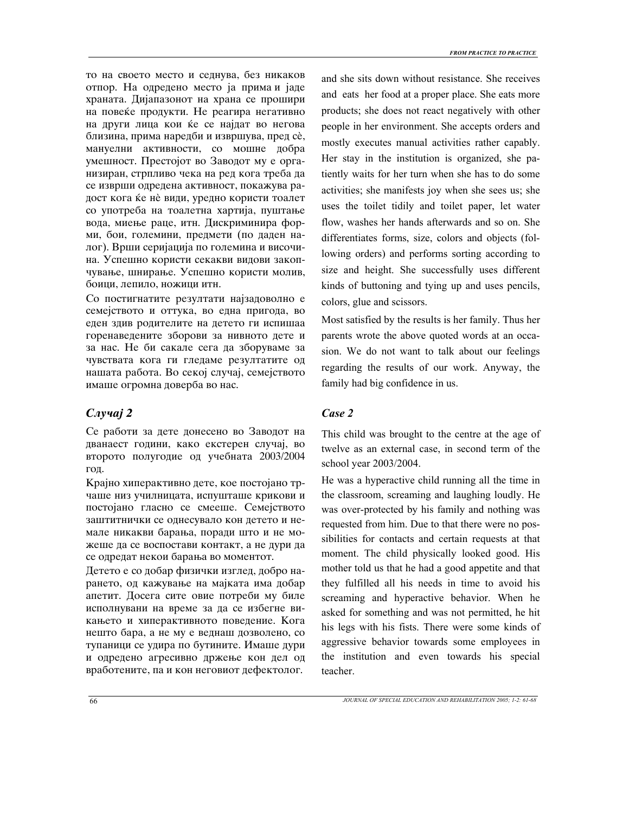то на своето место и седнува, без никаков отпор. На одредено место ја прима и јаде храната. Дијапазонот на храна се прошири на повеќе продукти. Не реагира негативно на други лица кои ќе се најдат во негова близина, прима наредби и извршува, пред сѐ, мануелни активности, со мошне добра умешност. Престојот во Заводот му е организиран, стрпливо чека на ред кога треба да се изврши одредена активност, покажува радост кога ќе нѐ види, уредно користи тоалет со употреба на тоалетна хартија, пуштање вода, миење раце, итн. Дискриминира форми, бои, големини, предмети (по даден налог). Врши серијација по големина и височина. Успешно користи секакви видови закопчување, шнирање. Успешно користи молив, боици, лепило, ножици итн.

Со постигнатите резултати најзадоволно е семејството и оттука, во една пригода, во еден здив родителите на детето ги испишаа горенаведените зборови за нивното дете и за нас. Не би сакале сега да зборуваме за чувствата кога ги гледаме резултатите од нашата работа. Во секој случај, семејството имаше огромна доверба во нас.

# *Slu~aj 2 Case 2*

Се работи за дете донесено во Заводот на дванаест години, како екстерен случај, во второто полугодие од учебната 2003/2004 год.

Крајно хиперактивно дете, кое постојано трчаше низ училницата, испушташе крикови и постојано гласно се смееше. Семејството заштитнички се однесувало кон детето и немале никакви барања, поради што и не можеше да се воспостави контакт, а не дури да се одредат некои барања во моментот.

Детето е со добар физички изглед, добро нарането, од кажување на мајката има добар апетит. Досега сите овие потреби му биле исполнувани на време за да се избегне викањето и хиперактивното поведение. Кога нешто бара, а не му е веднаш дозволено, со тупаници се удира по бутините. Имаше дури и одредено агресивно држење кон дел од вработените, па и кон неговиот дефектолог.

and she sits down without resistance. She receives and eats her food at a proper place. She eats more products; she does not react negatively with other people in her environment. She accepts orders and mostly executes manual activities rather capably. Her stay in the institution is organized, she patiently waits for her turn when she has to do some activities; she manifests joy when she sees us; she uses the toilet tidily and toilet paper, let water flow, washes her hands afterwards and so on. She differentiates forms, size, colors and objects (following orders) and performs sorting according to size and height. She successfully uses different kinds of buttoning and tying up and uses pencils, colors, glue and scissors.

Most satisfied by the results is her family. Thus her parents wrote the above quoted words at an occasion. We do not want to talk about our feelings regarding the results of our work. Anyway, the family had big confidence in us.

This child was brought to the centre at the age of twelve as an external case, in second term of the school year 2003/2004.

He was a hyperactive child running all the time in the classroom, screaming and laughing loudly. He was over-protected by his family and nothing was requested from him. Due to that there were no possibilities for contacts and certain requests at that moment. The child physically looked good. His mother told us that he had a good appetite and that they fulfilled all his needs in time to avoid his screaming and hyperactive behavior. When he asked for something and was not permitted, he hit his legs with his fists. There were some kinds of aggressive behavior towards some employees in the institution and even towards his special teacher.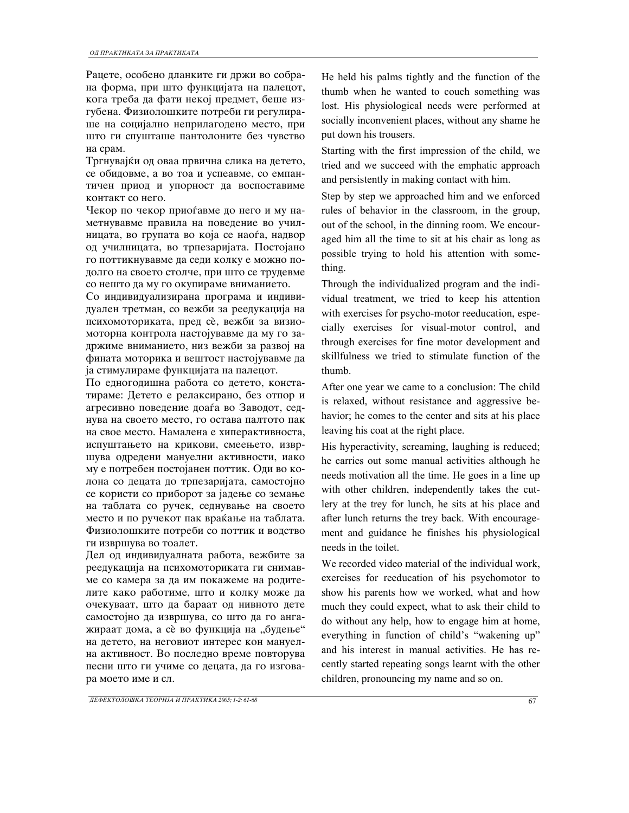Рацете, особено дланките ги држи во собрана форма, при што функцијата на палецот, кога треба да фати некој предмет, беше изгубена. Физиолошките потреби ги регулираше на социјално неприлагодено место, при што ги спушташе пантолоните без чувство на срам.

Тргнувајќи од оваа првична слика на детето, се обидовме, а во тоа и успеавме, со емпантичен приод и упорност да воспоставиме контакт со него.

Чекор по чекор приоѓавме до него и му наметнувавме правила на поведение во училницата, во групата во која се наоѓа, надвор од училницата, во трпезаријата. Постојано го поттикнувавме да седи колку е можно подолго на своето столче, при што се трудевме со нешто да му го окупираме вниманието.

Со индивидуализирана програма и индивидуален третман, со вежби за реедукација на психомоториката, пред сè, вежби за визиомоторна контрола настојувавме да му го задржиме вниманието, низ вежби за развој на фината моторика и вештост настојувавме да ја стимулираме функцијата на палецот.

По едногодишна работа со детето, констатираме: Детето е релаксирано, без отпор и агресивно поведение доаѓа во Заводот, седнува на своето место, го остава палтото пак на свое место. Намалена е хиперактивноста, испуштањето на крикови, смеењето, извршува одредени мануелни активности, иако му е потребен постојанен поттик. Оди во колона со децата до трпезаријата, самостојно се користи со приборот за јадење со земање на таблата со ручек, седнување на своето место и по ручекот пак враќање на таблата. Физиолошките потреби со поттик и водство ги извршува во тоалет.

Дел од индивидуалната работа, вежбите за реедукација на психомоториката ги снимавме со камера за да им покажеме на родителите како работиме, што и колку може да очекуваат, што да бараат од нивното дете самостојно да извршува, со што да го ангажираат дома, а сѐ во функција на "будење" на детето, на неговиот интерес кон мануелна активност. Во последно време повторува песни што ги учиме со децата, да го изговара моето име и сл.

He held his palms tightly and the function of the thumb when he wanted to couch something was lost. His physiological needs were performed at socially inconvenient places, without any shame he put down his trousers.

Starting with the first impression of the child, we tried and we succeed with the emphatic approach and persistently in making contact with him.

Step by step we approached him and we enforced rules of behavior in the classroom, in the group, out of the school, in the dinning room. We encouraged him all the time to sit at his chair as long as possible trying to hold his attention with something.

Through the individualized program and the individual treatment, we tried to keep his attention with exercises for psycho-motor reeducation, especially exercises for visual-motor control, and through exercises for fine motor development and skillfulness we tried to stimulate function of the thumb.

After one year we came to a conclusion: The child is relaxed, without resistance and aggressive behavior; he comes to the center and sits at his place leaving his coat at the right place.

His hyperactivity, screaming, laughing is reduced; he carries out some manual activities although he needs motivation all the time. He goes in a line up with other children, independently takes the cutlery at the trey for lunch, he sits at his place and after lunch returns the trey back. With encouragement and guidance he finishes his physiological needs in the toilet.

We recorded video material of the individual work, exercises for reeducation of his psychomotor to show his parents how we worked, what and how much they could expect, what to ask their child to do without any help, how to engage him at home, everything in function of child's "wakening up" and his interest in manual activities. He has recently started repeating songs learnt with the other children, pronouncing my name and so on.